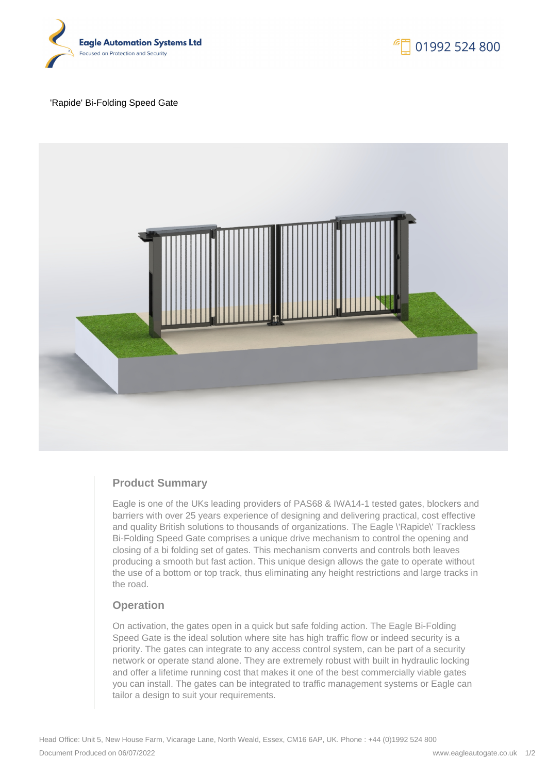

#### 'Rapide' Bi-Folding Speed Gate



# **Product Summary**

Eagle is one of the UKs leading providers of PAS68 & IWA14-1 tested gates, blockers and barriers with over 25 years experience of designing and delivering practical, cost effective and quality British solutions to thousands of organizations. The Eagle \'Rapide\' Trackless Bi-Folding Speed Gate comprises a unique drive mechanism to control the opening and closing of a bi folding set of gates. This mechanism converts and controls both leaves producing a smooth but fast action. This unique design allows the gate to operate without the use of a bottom or top track, thus eliminating any height restrictions and large tracks in the road.

## **Operation**

On activation, the gates open in a quick but safe folding action. The Eagle Bi-Folding Speed Gate is the ideal solution where site has high traffic flow or indeed security is a priority. The gates can integrate to any access control system, can be part of a security network or operate stand alone. They are extremely robust with built in hydraulic locking and offer a lifetime running cost that makes it one of the best commercially viable gates you can install. The gates can be integrated to traffic management systems or Eagle can tailor a design to suit your requirements.